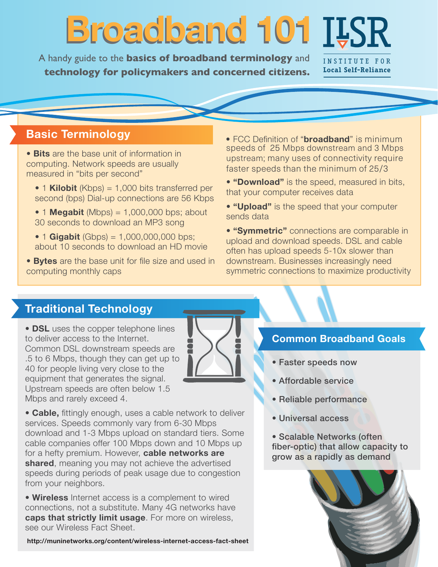# **Broadband 101 Broadband 101**

A handy guide to the **basics of broadband terminology** and **technology for policymakers and concerned citizens.**

INSTITUTE FOR **Local Self-Reliance**

# **Basic Terminology**

• **Bits** are the base unit of information in computing. Network speeds are usually measured in "bits per second"

- 1 **Kilobit** (Kbps) = 1,000 bits transferred per second (bps) Dial-up connections are 56 Kbps
- $\bullet$  1 **Megabit** (Mbps) = 1,000,000 bps; about 30 seconds to download an MP3 song
- 1 **Gigabit** (Gbps) =  $1,000,000,000$  bps; about 10 seconds to download an HD movie
- **Bytes** are the base unit for file size and used in computing monthly caps

• FCC Definition of "**broadband**" is minimum speeds of 25 Mbps downstream and 3 Mbps upstream; many uses of connectivity require faster speeds than the minimum of 25/3

- **"Download"** is the speed, measured in bits, that your computer receives data
- **"Upload"** is the speed that your computer sends data

• **"Symmetric"** connections are comparable in upload and download speeds. DSL and cable often has upload speeds 5-10x slower than downstream. Businesses increasingly need symmetric connections to maximize productivity

## **Traditional Technology**

• **DSL** uses the copper telephone lines to deliver access to the Internet. Common DSL downstream speeds are .5 to 6 Mbps, though they can get up to 40 for people living very close to the equipment that generates the signal. Upstream speeds are often below 1.5 Mbps and rarely exceed 4.



• **Cable,** fittingly enough, uses a cable network to deliver services. Speeds commonly vary from 6-30 Mbps download and 1-3 Mbps upload on standard tiers. Some cable companies offer 100 Mbps down and 10 Mbps up for a hefty premium. However, **cable networks are shared**, meaning you may not achieve the advertised speeds during periods of peak usage due to congestion from your neighbors.

• **Wireless** Internet access is a complement to wired connections, not a substitute. Many 4G networks have **caps that strictly limit usage**. For more on wireless, see our Wireless Fact Sheet.

**<http://muninetworks.org/content/wireless-internet-access-fact-sheet>**

#### **Common Broadband Goals**

- Faster speeds now
- Affordable service
- Reliable performance
- Universal access

• Scalable Networks (often fiber-optic) that allow capacity to grow as a rapidly as demand